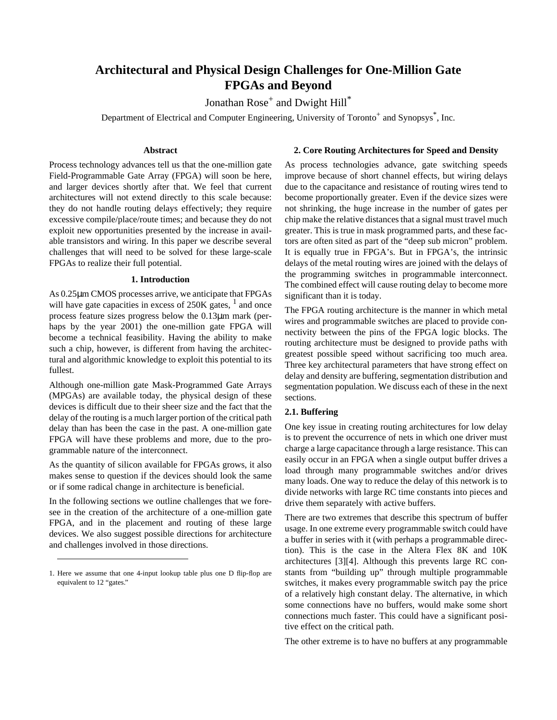# **Architectural and Physical Design Challenges for One-Million Gate FPGAs and Beyond**

Jonathan  $\text{Rose}^+$  and  $\text{Dwight Hill}^*$ 

Department of Electrical and Computer Engineering, University of Toronto<sup>+</sup> and Synopsys<sup>\*</sup>, Inc.

#### **Abstract**

Process technology advances tell us that the one-million gate Field-Programmable Gate Array (FPGA) will soon be here, and larger devices shortly after that. We feel that current architectures will not extend directly to this scale because: they do not handle routing delays effectively; they require excessive compile/place/route times; and because they do not exploit new opportunities presented by the increase in available transistors and wiring. In this paper we describe several challenges that will need to be solved for these large-scale FPGAs to realize their full potential.

## **1. Introduction**

As 0.25µm CMOS processes arrive, we anticipate that FPGAs will have gate capacities in excess of  $250K$  gates,  $<sup>1</sup>$  and once</sup> process feature sizes progress below the 0.13µm mark (perhaps by the year 2001) the one-million gate FPGA will become a technical feasibility. Having the ability to make such a chip, however, is different from having the architectural and algorithmic knowledge to exploit this potential to its fullest.

Although one-million gate Mask-Programmed Gate Arrays (MPGAs) are available today, the physical design of these devices is difficult due to their sheer size and the fact that the delay of the routing is a much larger portion of the critical path delay than has been the case in the past. A one-million gate FPGA will have these problems and more, due to the programmable nature of the interconnect.

As the quantity of silicon available for FPGAs grows, it also makes sense to question if the devices should look the same or if some radical change in architecture is beneficial.

In the following sections we outline challenges that we foresee in the creation of the architecture of a one-million gate FPGA, and in the placement and routing of these large devices. We also suggest possible directions for architecture and challenges involved in those directions.

**2. Core Routing Architectures for Speed and Density**

As process technologies advance, gate switching speeds improve because of short channel effects, but wiring delays due to the capacitance and resistance of routing wires tend to become proportionally greater. Even if the device sizes were not shrinking, the huge increase in the number of gates per chip make the relative distances that a signal must travel much greater. This is true in mask programmed parts, and these factors are often sited as part of the "deep sub micron" problem. It is equally true in FPGA's. But in FPGA's, the intrinsic delays of the metal routing wires are joined with the delays of the programming switches in programmable interconnect. The combined effect will cause routing delay to become more significant than it is today.

The FPGA routing architecture is the manner in which metal wires and programmable switches are placed to provide connectivity between the pins of the FPGA logic blocks. The routing architecture must be designed to provide paths with greatest possible speed without sacrificing too much area. Three key architectural parameters that have strong effect on delay and density are buffering, segmentation distribution and segmentation population. We discuss each of these in the next sections.

#### **2.1. Buffering**

One key issue in creating routing architectures for low delay is to prevent the occurrence of nets in which one driver must charge a large capacitance through a large resistance. This can easily occur in an FPGA when a single output buffer drives a load through many programmable switches and/or drives many loads. One way to reduce the delay of this network is to divide networks with large RC time constants into pieces and drive them separately with active buffers.

There are two extremes that describe this spectrum of buffer usage. In one extreme every programmable switch could have a buffer in series with it (with perhaps a programmable direction). This is the case in the Altera Flex 8K and 10K architectures [3][4]. Although this prevents large RC constants from "building up" through multiple programmable switches, it makes every programmable switch pay the price of a relatively high constant delay. The alternative, in which some connections have no buffers, would make some short connections much faster. This could have a significant positive effect on the critical path.

The other extreme is to have no buffers at any programmable

<sup>1.</sup> Here we assume that one 4-input lookup table plus one D flip-flop are equivalent to 12 "gates."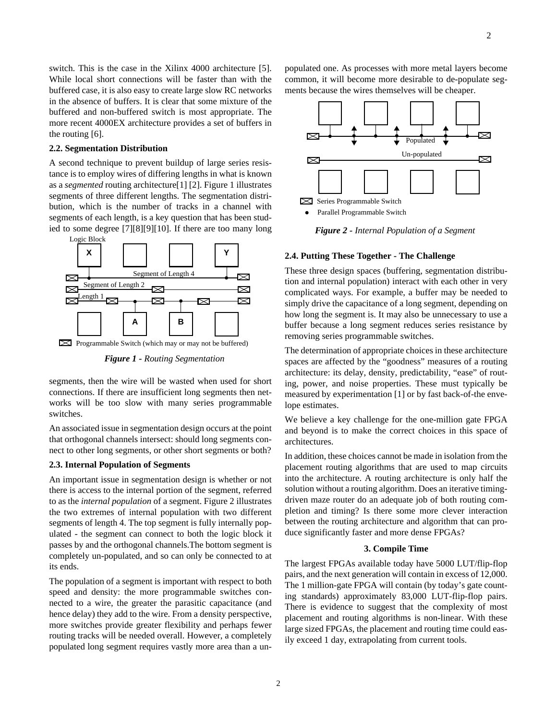switch. This is the case in the Xilinx 4000 architecture [5]. While local short connections will be faster than with the buffered case, it is also easy to create large slow RC networks in the absence of buffers. It is clear that some mixture of the buffered and non-buffered switch is most appropriate. The more recent 4000EX architecture provides a set of buffers in the routing [6].

## **2.2. Segmentation Distribution**

A second technique to prevent buildup of large series resistance is to employ wires of differing lengths in what is known as a *segmented* routing architecture[1] [2]. Figure 1 illustrates segments of three different lengths. The segmentation distribution, which is the number of tracks in a channel with segments of each length, is a key question that has been studied to some degree [7][8][9][10]. If there are too many long



*Figure 1 - Routing Segmentation*

segments, then the wire will be wasted when used for short connections. If there are insufficient long segments then networks will be too slow with many series programmable switches.

An associated issue in segmentation design occurs at the point that orthogonal channels intersect: should long segments connect to other long segments, or other short segments or both?

## **2.3. Internal Population of Segments**

An important issue in segmentation design is whether or not there is access to the internal portion of the segment, referred to as the *internal population* of a segment. Figure 2 illustrates the two extremes of internal population with two different segments of length 4. The top segment is fully internally populated - the segment can connect to both the logic block it passes by and the orthogonal channels.The bottom segment is completely un-populated, and so can only be connected to at its ends.

The population of a segment is important with respect to both speed and density: the more programmable switches connected to a wire, the greater the parasitic capacitance (and hence delay) they add to the wire. From a density perspective, more switches provide greater flexibility and perhaps fewer routing tracks will be needed overall. However, a completely populated long segment requires vastly more area than a unpopulated one. As processes with more metal layers become common, it will become more desirable to de-populate segments because the wires themselves will be cheaper.



*Figure 2 - Internal Population of a Segment*

## **2.4. Putting These Together - The Challenge**

These three design spaces (buffering, segmentation distribution and internal population) interact with each other in very complicated ways. For example, a buffer may be needed to simply drive the capacitance of a long segment, depending on how long the segment is. It may also be unnecessary to use a buffer because a long segment reduces series resistance by removing series programmable switches.

The determination of appropriate choices in these architecture spaces are affected by the "goodness" measures of a routing architecture: its delay, density, predictability, "ease" of routing, power, and noise properties. These must typically be measured by experimentation [1] or by fast back-of-the envelope estimates.

We believe a key challenge for the one-million gate FPGA and beyond is to make the correct choices in this space of architectures.

In addition, these choices cannot be made in isolation from the placement routing algorithms that are used to map circuits into the architecture. A routing architecture is only half the solution without a routing algorithm. Does an iterative timingdriven maze router do an adequate job of both routing completion and timing? Is there some more clever interaction between the routing architecture and algorithm that can produce significantly faster and more dense FPGAs?

#### **3. Compile Time**

The largest FPGAs available today have 5000 LUT/flip-flop pairs, and the next generation will contain in excess of 12,000. The 1 million-gate FPGA will contain (by today's gate counting standards) approximately 83,000 LUT-flip-flop pairs. There is evidence to suggest that the complexity of most placement and routing algorithms is non-linear. With these large sized FPGAs, the placement and routing time could easily exceed 1 day, extrapolating from current tools.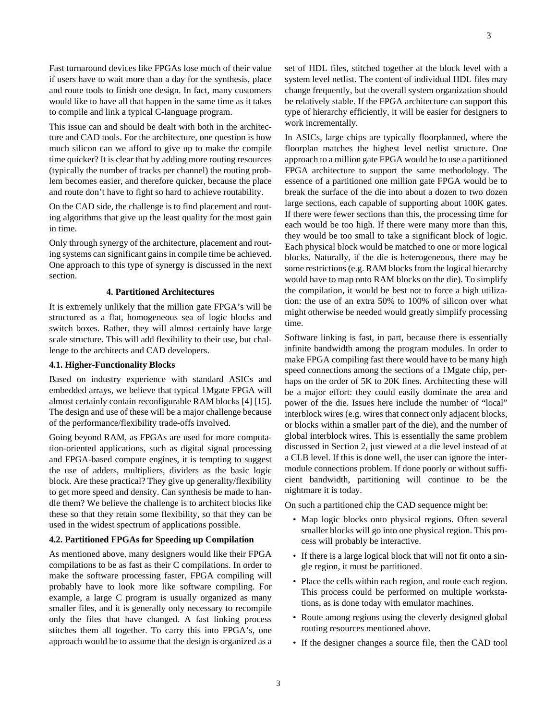Fast turnaround devices like FPGAs lose much of their value if users have to wait more than a day for the synthesis, place and route tools to finish one design. In fact, many customers would like to have all that happen in the same time as it takes to compile and link a typical C-language program.

This issue can and should be dealt with both in the architecture and CAD tools. For the architecture, one question is how much silicon can we afford to give up to make the compile time quicker? It is clear that by adding more routing resources (typically the number of tracks per channel) the routing problem becomes easier, and therefore quicker, because the place and route don't have to fight so hard to achieve routability.

On the CAD side, the challenge is to find placement and routing algorithms that give up the least quality for the most gain in time.

Only through synergy of the architecture, placement and routing systems can significant gains in compile time be achieved. One approach to this type of synergy is discussed in the next section.

## **4. Partitioned Architectures**

It is extremely unlikely that the million gate FPGA's will be structured as a flat, homogeneous sea of logic blocks and switch boxes. Rather, they will almost certainly have large scale structure. This will add flexibility to their use, but challenge to the architects and CAD developers.

## **4.1. Higher-Functionality Blocks**

Based on industry experience with standard ASICs and embedded arrays, we believe that typical 1Mgate FPGA will almost certainly contain reconfigurable RAM blocks [4] [15]. The design and use of these will be a major challenge because of the performance/flexibility trade-offs involved.

Going beyond RAM, as FPGAs are used for more computation-oriented applications, such as digital signal processing and FPGA-based compute engines, it is tempting to suggest the use of adders, multipliers, dividers as the basic logic block. Are these practical? They give up generality/flexibility to get more speed and density. Can synthesis be made to handle them? We believe the challenge is to architect blocks like these so that they retain some flexibility, so that they can be used in the widest spectrum of applications possible.

#### **4.2. Partitioned FPGAs for Speeding up Compilation**

As mentioned above, many designers would like their FPGA compilations to be as fast as their C compilations. In order to make the software processing faster, FPGA compiling will probably have to look more like software compiling. For example, a large C program is usually organized as many smaller files, and it is generally only necessary to recompile only the files that have changed. A fast linking process stitches them all together. To carry this into FPGA's, one approach would be to assume that the design is organized as a set of HDL files, stitched together at the block level with a system level netlist. The content of individual HDL files may change frequently, but the overall system organization should be relatively stable. If the FPGA architecture can support this type of hierarchy efficiently, it will be easier for designers to work incrementally.

In ASICs, large chips are typically floorplanned, where the floorplan matches the highest level netlist structure. One approach to a million gate FPGA would be to use a partitioned FPGA architecture to support the same methodology. The essence of a partitioned one million gate FPGA would be to break the surface of the die into about a dozen to two dozen large sections, each capable of supporting about 100K gates. If there were fewer sections than this, the processing time for each would be too high. If there were many more than this, they would be too small to take a significant block of logic. Each physical block would be matched to one or more logical blocks. Naturally, if the die is heterogeneous, there may be some restrictions (e.g. RAM blocks from the logical hierarchy would have to map onto RAM blocks on the die). To simplify the compilation, it would be best not to force a high utilization: the use of an extra 50% to 100% of silicon over what might otherwise be needed would greatly simplify processing time.

Software linking is fast, in part, because there is essentially infinite bandwidth among the program modules. In order to make FPGA compiling fast there would have to be many high speed connections among the sections of a 1Mgate chip, perhaps on the order of 5K to 20K lines. Architecting these will be a major effort: they could easily dominate the area and power of the die. Issues here include the number of "local" interblock wires (e.g. wires that connect only adjacent blocks, or blocks within a smaller part of the die), and the number of global interblock wires. This is essentially the same problem discussed in Section 2, just viewed at a die level instead of at a CLB level. If this is done well, the user can ignore the intermodule connections problem. If done poorly or without sufficient bandwidth, partitioning will continue to be the nightmare it is today.

On such a partitioned chip the CAD sequence might be:

- Map logic blocks onto physical regions. Often several smaller blocks will go into one physical region. This process will probably be interactive.
- If there is a large logical block that will not fit onto a single region, it must be partitioned.
- Place the cells within each region, and route each region. This process could be performed on multiple workstations, as is done today with emulator machines.
- Route among regions using the cleverly designed global routing resources mentioned above.
- If the designer changes a source file, then the CAD tool